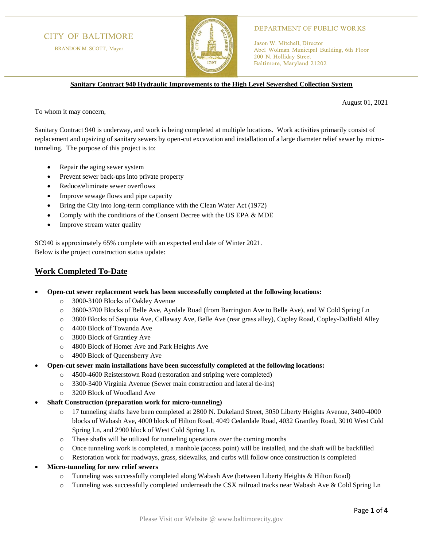# **CITY OF BALTIMORE**

BRANDON M. SCOTT, Mayor



#### **DEPARTMENT OF PUBLIC WORKS**

Jason W. Mitchell, Director Abel Wolman Municipal Building, 6th Floor 200 N. Holliday Street Baltimore, Maryland 21202

**Sanitary Contract 940 Hydraulic Improvements to the High Level Sewershed Collection System**

August 01, 2021

To whom it may concern,

Sanitary Contract 940 is underway, and work is being completed at multiple locations. Work activities primarily consist of replacement and upsizing of sanitary sewers by open-cut excavation and installation of a large diameter relief sewer by microtunneling. The purpose of this project is to:

- Repair the aging sewer system
- Prevent sewer back-ups into private property
- Reduce/eliminate sewer overflows
- Improve sewage flows and pipe capacity
- Bring the City into long-term compliance with the Clean Water Act (1972)
- Comply with the conditions of the Consent Decree with the US EPA & MDE
- Improve stream water quality

SC940 is approximately 65% complete with an expected end date of Winter 2021. Below is the project construction status update:

### **Work Completed To-Date**

- **Open-cut sewer replacement work has been successfully completed at the following locations:**
	- o 3000-3100 Blocks of Oakley Avenue
	- o 3600-3700 Blocks of Belle Ave, Ayrdale Road (from Barrington Ave to Belle Ave), and W Cold Spring Ln
	- o 3800 Blocks of Sequoia Ave, Callaway Ave, Belle Ave (rear grass alley), Copley Road, Copley-Dolfield Alley
	- o 4400 Block of Towanda Ave
	- o 3800 Block of Grantley Ave
	- o 4800 Block of Homer Ave and Park Heights Ave
	- o 4900 Block of Queensberry Ave
- **Open-cut sewer main installations have been successfully completed at the following locations:**
	- o 4500-4600 Reisterstown Road (restoration and striping were completed)
	- o 3300-3400 Virginia Avenue (Sewer main construction and lateral tie-ins)
	- o 3200 Block of Woodland Ave
- **Shaft Construction (preparation work for micro-tunneling)**
	- o 17 tunneling shafts have been completed at 2800 N. Dukeland Street, 3050 Liberty Heights Avenue, 3400-4000 blocks of Wabash Ave, 4000 block of Hilton Road, 4049 Cedardale Road, 4032 Grantley Road, 3010 West Cold Spring Ln, and 2900 block of West Cold Spring Ln.
	- o These shafts will be utilized for tunneling operations over the coming months
	- o Once tunneling work is completed, a manhole (access point) will be installed, and the shaft will be backfilled
	- o Restoration work for roadways, grass, sidewalks, and curbs will follow once construction is completed
- **Micro-tunneling for new relief sewers**
	- o Tunneling was successfully completed along Wabash Ave (between Liberty Heights & Hilton Road)
	- o Tunneling was successfully completed underneath the CSX railroad tracks near Wabash Ave & Cold Spring Ln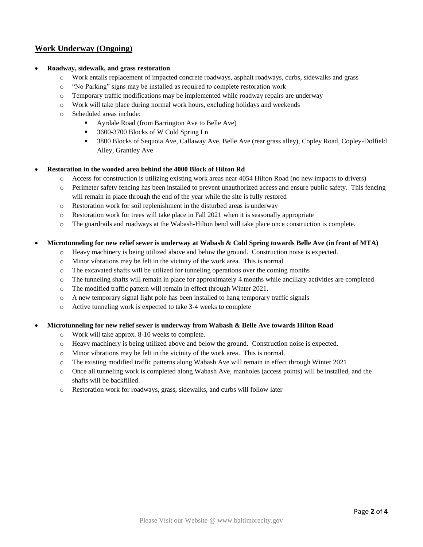# **Work Underway (Ongoing)**

### • **Roadway, sidewalk, and grass restoration**

- o Work entails replacement of impacted concrete roadways, asphalt roadways, curbs, sidewalks and grass
- o "No Parking" signs may be installed as required to complete restoration work
- $\circ$  Temporary traffic modifications may be implemented while roadway repairs are underway
- o Work will take place during normal work hours, excluding holidays and weekends
- o Scheduled areas include:
	- Ayrdale Road (from Barrington Ave to Belle Ave)
	- 3600-3700 Blocks of W Cold Spring Ln
	- 3800 Blocks of Sequoia Ave, Callaway Ave, Belle Ave (rear grass alley), Copley Road, Copley-Dolfield Alley, Grantley Ave

### • **Restoration in the wooded area behind the 4000 Block of Hilton Rd**

- o Access for construction is utilizing existing work areas near 4054 Hilton Road (no new impacts to drivers)
- o Perimeter safety fencing has been installed to prevent unauthorized access and ensure public safety. This fencing will remain in place through the end of the year while the site is fully restored
- o Restoration work for soil replenishment in the disturbed areas is underway
- $\circ$  Restoration work for trees will take place in Fall 2021 when it is seasonally appropriate
- o The guardrails and roadways at the Wabash-Hilton bend will take place once construction is complete.

### • **Microtunneling for new relief sewer is underway at Wabash & Cold Spring towards Belle Ave (in front of MTA)**

- o Heavy machinery is being utilized above and below the ground. Construction noise is expected.
- o Minor vibrations may be felt in the vicinity of the work area. This is normal
- o The excavated shafts will be utilized for tunneling operations over the coming months
- o The tunneling shafts will remain in place for approximately 4 months while ancillary activities are completed
- o The modified traffic pattern will remain in effect through Winter 2021.
- o A new temporary signal light pole has been installed to hang temporary traffic signals
- o Active tunneling work is expected to take 3-4 weeks to complete

### • **Microtunneling for new relief sewer is underway from Wabash & Belle Ave towards Hilton Road**

- o Work will take approx. 8-10 weeks to complete.
- o Heavy machinery is being utilized above and below the ground. Construction noise is expected.
- o Minor vibrations may be felt in the vicinity of the work area. This is normal.
- o The existing modified traffic patterns along Wabash Ave will remain in effect through Winter 2021
- o Once all tunneling work is completed along Wabash Ave, manholes (access points) will be installed, and the shafts will be backfilled.
- o Restoration work for roadways, grass, sidewalks, and curbs will follow later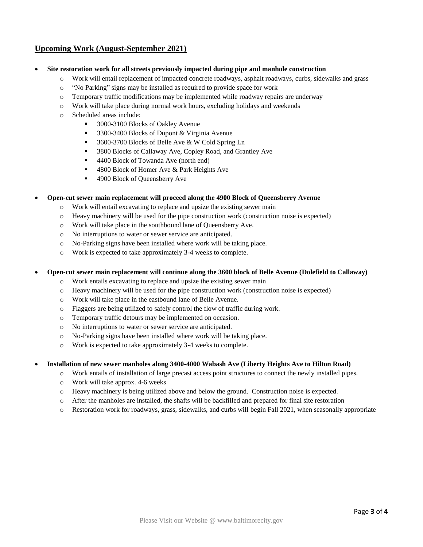# **Upcoming Work (August-September 2021)**

- **Site restoration work for all streets previously impacted during pipe and manhole construction**
	- o Work will entail replacement of impacted concrete roadways, asphalt roadways, curbs, sidewalks and grass
	- o "No Parking" signs may be installed as required to provide space for work
	- o Temporary traffic modifications may be implemented while roadway repairs are underway
	- o Work will take place during normal work hours, excluding holidays and weekends
	- o Scheduled areas include:
		- 3000-3100 Blocks of Oakley Avenue
		- 3300-3400 Blocks of Dupont & Virginia Avenue
		- 3600-3700 Blocks of Belle Ave & W Cold Spring Ln
		- 3800 Blocks of Callaway Ave, Copley Road, and Grantley Ave
		- 4400 Block of Towanda Ave (north end)
		- 4800 Block of Homer Ave & Park Heights Ave
		- 4900 Block of Queensberry Ave

#### • **Open-cut sewer main replacement will proceed along the 4900 Block of Queensberry Avenue**

- o Work will entail excavating to replace and upsize the existing sewer main
- o Heavy machinery will be used for the pipe construction work (construction noise is expected)
- o Work will take place in the southbound lane of Queensberry Ave.
- o No interruptions to water or sewer service are anticipated.
- o No-Parking signs have been installed where work will be taking place.
- o Work is expected to take approximately 3-4 weeks to complete.

#### • **Open-cut sewer main replacement will continue along the 3600 block of Belle Avenue (Dolefield to Callaway)**

- o Work entails excavating to replace and upsize the existing sewer main
- o Heavy machinery will be used for the pipe construction work (construction noise is expected)
- o Work will take place in the eastbound lane of Belle Avenue.
- o Flaggers are being utilized to safely control the flow of traffic during work.
- o Temporary traffic detours may be implemented on occasion.
- o No interruptions to water or sewer service are anticipated.
- o No-Parking signs have been installed where work will be taking place.
- o Work is expected to take approximately 3-4 weeks to complete.

### • **Installation of new sewer manholes along 3400-4000 Wabash Ave (Liberty Heights Ave to Hilton Road)**

- o Work entails of installation of large precast access point structures to connect the newly installed pipes.
- o Work will take approx. 4-6 weeks
- o Heavy machinery is being utilized above and below the ground. Construction noise is expected.
- o After the manholes are installed, the shafts will be backfilled and prepared for final site restoration
- o Restoration work for roadways, grass, sidewalks, and curbs will begin Fall 2021, when seasonally appropriate